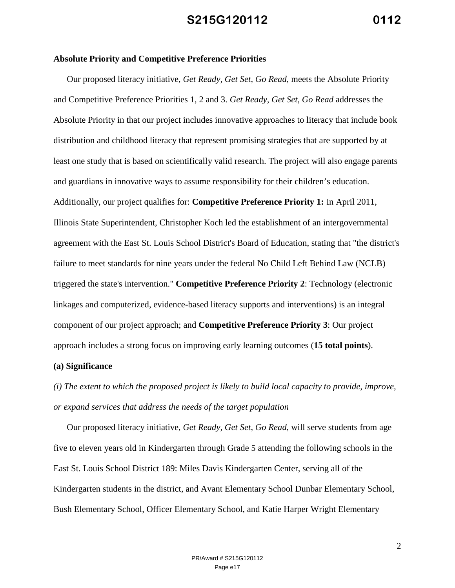#### **Absolute Priority and Competitive Preference Priorities**

Our proposed literacy initiative, *Get Ready, Get Set, Go Read*, meets the Absolute Priority and Competitive Preference Priorities 1, 2 and 3. *Get Ready, Get Set, Go Read* addresses the Absolute Priority in that our project includes innovative approaches to literacy that include book distribution and childhood literacy that represent promising strategies that are supported by at least one study that is based on scientifically valid research. The project will also engage parents and guardians in innovative ways to assume responsibility for their children's education. Additionally, our project qualifies for: **Competitive Preference Priority 1:** In April 2011, Illinois State Superintendent, Christopher Koch led the establishment of an intergovernmental agreement with the East St. Louis School District's Board of Education, stating that "the district's failure to meet standards for nine years under the federal No Child Left Behind Law (NCLB) triggered the state's intervention." **Competitive Preference Priority 2**: Technology (electronic linkages and computerized, evidence-based literacy supports and interventions) is an integral component of our project approach; and **Competitive Preference Priority 3**: Our project approach includes a strong focus on improving early learning outcomes (**15 total points**).

#### **(a) Significance**

*(i) The extent to which the proposed project is likely to build local capacity to provide, improve, or expand services that address the needs of the target population*

Our proposed literacy initiative, *Get Ready, Get Set, Go Read*, will serve students from age five to eleven years old in Kindergarten through Grade 5 attending the following schools in the East St. Louis School District 189: Miles Davis Kindergarten Center, serving all of the Kindergarten students in the district, and Avant Elementary School Dunbar Elementary School, Bush Elementary School, Officer Elementary School, and Katie Harper Wright Elementary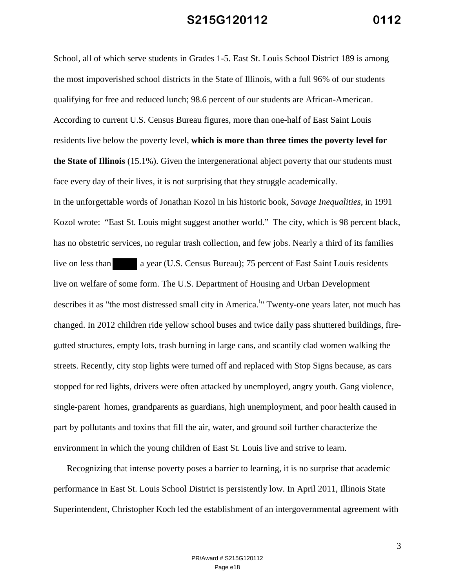School, all of which serve students in Grades 1-5. East St. Louis School District 189 is among the most impoverished school districts in the State of Illinois, with a full 96% of our students qualifying for free and reduced lunch; 98.6 percent of our students are African-American. According to current U.S. Census Bureau figures, more than one-half of East Saint Louis residents live below the poverty level, **which is more than three times the poverty level for the State of Illinois** (15.1%). Given the intergenerational abject poverty that our students must face every day of their lives, it is not surprising that they struggle academically. In the unforgettable words of Jonathan Kozol in his historic book, *Savage Inequalities*, in 1991 Kozol wrote: "East St. Louis might suggest another world." The city, which is 98 percent black, has no obstetric services, no regular trash collection, and few jobs. Nearly a third of its families live on less than a year (U.S. Census Bureau); 75 percent of East Saint Louis residents live on welfare of some form. The U.S. Department of Housing and Urban Development describes it as "the most distressed small city in America.<sup>1</sup>" Twenty-one years later, not much has changed. In 2012 children ride yellow school buses and twice daily pass shuttered buildings, firegutted structures, empty lots, trash burning in large cans, and scantily clad women walking the streets. Recently, city stop lights were turned off and replaced with Stop Signs because, as cars stopped for red lights, drivers were often attacked by unemployed, angry youth. Gang violence, single-parent homes, grandparents as guardians, high unemployment, and poor health caused in part by pollutants and toxins that fill the air, water, and ground soil further characterize the environment in which the young children of East St. Louis live and strive to learn.

Recognizing that intense poverty poses a barrier to learning, it is no surprise that academic performance in East St. Louis School District is persistently low. In April 2011, Illinois State Superintendent, Christopher Koch led the establishment of an intergovernmental agreement with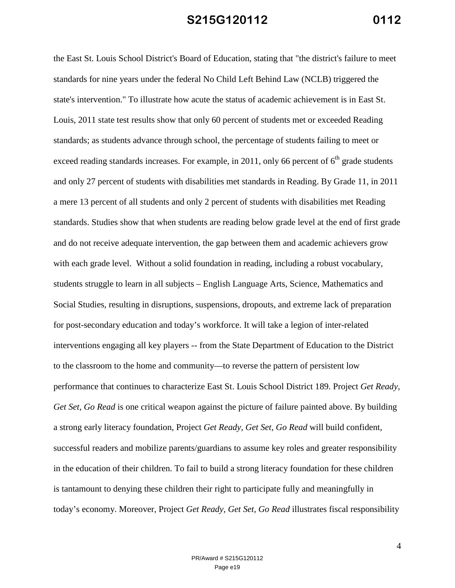the East St. Louis School District's Board of Education, stating that "the district's failure to meet standards for nine years under the federal No Child Left Behind Law (NCLB) triggered the state's intervention." To illustrate how acute the status of academic achievement is in East St. Louis, 2011 state test results show that only 60 percent of students met or exceeded Reading standards; as students advance through school, the percentage of students failing to meet or exceed reading standards increases. For example, in 2011, only 66 percent of  $6<sup>th</sup>$  grade students and only 27 percent of students with disabilities met standards in Reading. By Grade 11, in 2011 a mere 13 percent of all students and only 2 percent of students with disabilities met Reading standards. Studies show that when students are reading below grade level at the end of first grade and do not receive adequate intervention, the gap between them and academic achievers grow with each grade level. Without a solid foundation in reading, including a robust vocabulary, students struggle to learn in all subjects – English Language Arts, Science, Mathematics and Social Studies, resulting in disruptions, suspensions, dropouts, and extreme lack of preparation for post-secondary education and today's workforce. It will take a legion of inter-related interventions engaging all key players -- from the State Department of Education to the District to the classroom to the home and community—to reverse the pattern of persistent low performance that continues to characterize East St. Louis School District 189. Project *Get Ready, Get Set, Go Read* is one critical weapon against the picture of failure painted above. By building a strong early literacy foundation, Project *Get Ready, Get Set, Go Read* will build confident, successful readers and mobilize parents/guardians to assume key roles and greater responsibility in the education of their children. To fail to build a strong literacy foundation for these children is tantamount to denying these children their right to participate fully and meaningfully in today's economy. Moreover, Project *Get Ready, Get Set, Go Read* illustrates fiscal responsibility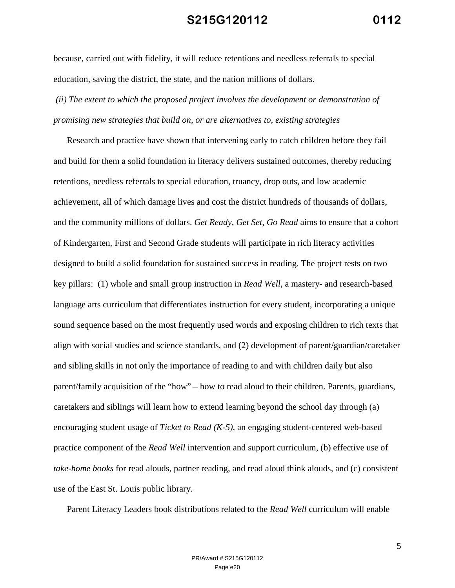because, carried out with fidelity, it will reduce retentions and needless referrals to special education, saving the district, the state, and the nation millions of dollars.

# *(ii) The extent to which the proposed project involves the development or demonstration of promising new strategies that build on, or are alternatives to, existing strategies*

Research and practice have shown that intervening early to catch children before they fail and build for them a solid foundation in literacy delivers sustained outcomes, thereby reducing retentions, needless referrals to special education, truancy, drop outs, and low academic achievement, all of which damage lives and cost the district hundreds of thousands of dollars, and the community millions of dollars. *Get Ready, Get Set, Go Read* aims to ensure that a cohort of Kindergarten, First and Second Grade students will participate in rich literacy activities designed to build a solid foundation for sustained success in reading. The project rests on two key pillars: (1) whole and small group instruction in *Read Well*, a mastery- and research-based language arts curriculum that differentiates instruction for every student, incorporating a unique sound sequence based on the most frequently used words and exposing children to rich texts that align with social studies and science standards, and (2) development of parent/guardian/caretaker and sibling skills in not only the importance of reading to and with children daily but also parent/family acquisition of the "how" – how to read aloud to their children. Parents, guardians, caretakers and siblings will learn how to extend learning beyond the school day through (a) encouraging student usage of *Ticket to Read (K-5)*, an engaging student-centered web-based practice component of the *Read Well* intervention and support curriculum, (b) effective use of *take-home books* for read alouds, partner reading, and read aloud think alouds, and (c) consistent use of the East St. Louis public library.

Parent Literacy Leaders book distributions related to the *Read Well* curriculum will enable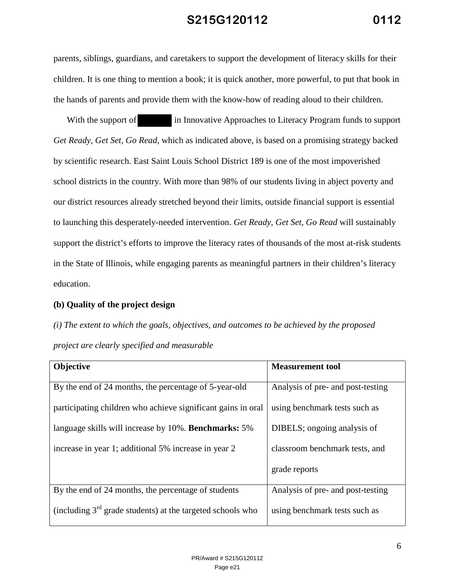parents, siblings, guardians, and caretakers to support the development of literacy skills for their children. It is one thing to mention a book; it is quick another, more powerful, to put that book in the hands of parents and provide them with the know-how of reading aloud to their children.

With the support of in Innovative Approaches to Literacy Program funds to support *Get Ready, Get Set, Go Read,* which as indicated above, is based on a promising strategy backed by scientific research. East Saint Louis School District 189 is one of the most impoverished school districts in the country. With more than 98% of our students living in abject poverty and our district resources already stretched beyond their limits, outside financial support is essential to launching this desperately-needed intervention. *Get Ready, Get Set, Go Read* will sustainably support the district's efforts to improve the literacy rates of thousands of the most at-risk students in the State of Illinois, while engaging parents as meaningful partners in their children's literacy education.

#### **(b) Quality of the project design**

*(i) The extent to which the goals, objectives, and outcomes to be achieved by the proposed project are clearly specified and measurable*

| Objective                                                    | <b>Measurement tool</b>           |
|--------------------------------------------------------------|-----------------------------------|
| By the end of 24 months, the percentage of 5-year-old        | Analysis of pre- and post-testing |
| participating children who achieve significant gains in oral | using benchmark tests such as     |
| language skills will increase by 10%. <b>Benchmarks:</b> 5%  | DIBELS; ongoing analysis of       |
| increase in year 1; additional 5% increase in year 2         | classroom benchmark tests, and    |
|                                                              | grade reports                     |
| By the end of 24 months, the percentage of students          | Analysis of pre- and post-testing |
| (including $3rd$ grade students) at the targeted schools who | using benchmark tests such as     |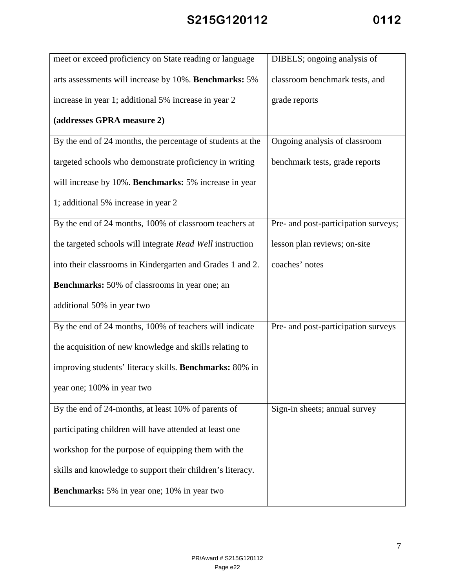| meet or exceed proficiency on State reading or language    | DIBELS; ongoing analysis of          |
|------------------------------------------------------------|--------------------------------------|
| arts assessments will increase by 10%. Benchmarks: 5%      | classroom benchmark tests, and       |
| increase in year 1; additional 5% increase in year 2       | grade reports                        |
| (addresses GPRA measure 2)                                 |                                      |
| By the end of 24 months, the percentage of students at the | Ongoing analysis of classroom        |
| targeted schools who demonstrate proficiency in writing    | benchmark tests, grade reports       |
| will increase by 10%. Benchmarks: 5% increase in year      |                                      |
| 1; additional 5% increase in year 2                        |                                      |
| By the end of 24 months, 100% of classroom teachers at     | Pre- and post-participation surveys; |
| the targeted schools will integrate Read Well instruction  | lesson plan reviews; on-site         |
| into their classrooms in Kindergarten and Grades 1 and 2.  | coaches' notes                       |
| Benchmarks: 50% of classrooms in year one; an              |                                      |
| additional 50% in year two                                 |                                      |
| By the end of 24 months, 100% of teachers will indicate    | Pre- and post-participation surveys  |
| the acquisition of new knowledge and skills relating to    |                                      |
| improving students' literacy skills. Benchmarks: 80% in    |                                      |
| year one; 100% in year two                                 |                                      |
| By the end of 24-months, at least 10% of parents of        | Sign-in sheets; annual survey        |
| participating children will have attended at least one     |                                      |
| workshop for the purpose of equipping them with the        |                                      |
| skills and knowledge to support their children's literacy. |                                      |
| <b>Benchmarks:</b> 5% in year one; 10% in year two         |                                      |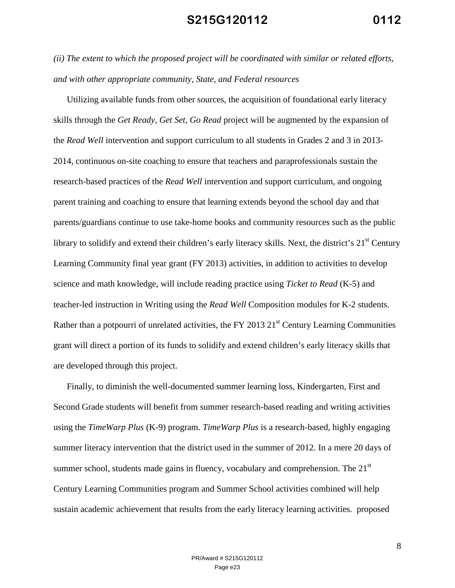*(ii) The extent to which the proposed project will be coordinated with similar or related efforts, and with other appropriate community, State, and Federal resources*

Utilizing available funds from other sources, the acquisition of foundational early literacy skills through the *Get Ready, Get Set, Go Read* project will be augmented by the expansion of the *Read Well* intervention and support curriculum to all students in Grades 2 and 3 in 2013- 2014, continuous on-site coaching to ensure that teachers and paraprofessionals sustain the research-based practices of the *Read Well* intervention and support curriculum, and ongoing parent training and coaching to ensure that learning extends beyond the school day and that parents/guardians continue to use take-home books and community resources such as the public library to solidify and extend their children's early literacy skills. Next, the district's 21<sup>st</sup> Century Learning Community final year grant (FY 2013) activities, in addition to activities to develop science and math knowledge, will include reading practice using *Ticket to Read* (K-5) and teacher-led instruction in Writing using the *Read Well* Composition modules for K-2 students. Rather than a potpourri of unrelated activities, the FY 2013  $21<sup>st</sup>$  Century Learning Communities grant will direct a portion of its funds to solidify and extend children's early literacy skills that are developed through this project.

Finally, to diminish the well-documented summer learning loss, Kindergarten, First and Second Grade students will benefit from summer research-based reading and writing activities using the *TimeWarp Plus* (K-9) program. *TimeWarp Plus* is a research-based, highly engaging summer literacy intervention that the district used in the summer of 2012. In a mere 20 days of summer school, students made gains in fluency, vocabulary and comprehension. The  $21<sup>st</sup>$ Century Learning Communities program and Summer School activities combined will help sustain academic achievement that results from the early literacy learning activities. proposed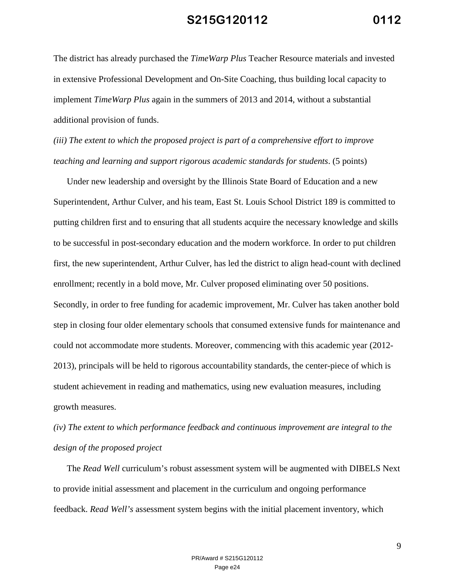The district has already purchased the *TimeWarp Plus* Teacher Resource materials and invested in extensive Professional Development and On-Site Coaching, thus building local capacity to implement *TimeWarp Plus* again in the summers of 2013 and 2014, without a substantial additional provision of funds.

*(iii) The extent to which the proposed project is part of a comprehensive effort to improve teaching and learning and support rigorous academic standards for students*. (5 points)

Under new leadership and oversight by the Illinois State Board of Education and a new Superintendent, Arthur Culver, and his team, East St. Louis School District 189 is committed to putting children first and to ensuring that all students acquire the necessary knowledge and skills to be successful in post-secondary education and the modern workforce. In order to put children first, the new superintendent, Arthur Culver, has led the district to align head-count with declined enrollment; recently in a bold move, Mr. Culver proposed eliminating over 50 positions. Secondly, in order to free funding for academic improvement, Mr. Culver has taken another bold step in closing four older elementary schools that consumed extensive funds for maintenance and could not accommodate more students. Moreover, commencing with this academic year (2012- 2013), principals will be held to rigorous accountability standards, the center-piece of which is student achievement in reading and mathematics, using new evaluation measures, including growth measures.

*(iv) The extent to which performance feedback and continuous improvement are integral to the design of the proposed project*

The *Read Well* curriculum's robust assessment system will be augmented with DIBELS Next to provide initial assessment and placement in the curriculum and ongoing performance feedback. *Read Well's* assessment system begins with the initial placement inventory, which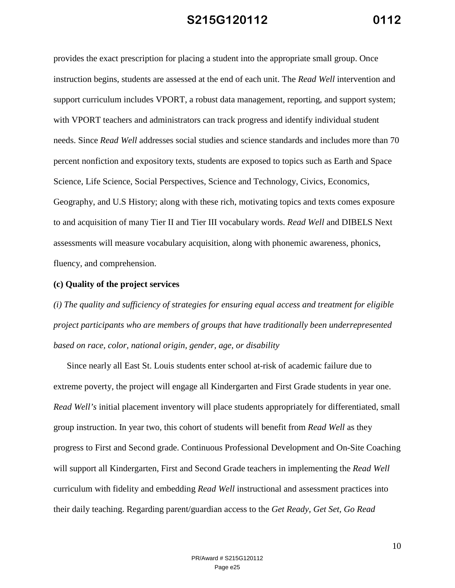provides the exact prescription for placing a student into the appropriate small group. Once instruction begins, students are assessed at the end of each unit. The *Read Well* intervention and support curriculum includes VPORT, a robust data management, reporting, and support system; with VPORT teachers and administrators can track progress and identify individual student needs. Since *Read Well* addresses social studies and science standards and includes more than 70 percent nonfiction and expository texts, students are exposed to topics such as Earth and Space Science, Life Science, Social Perspectives, Science and Technology, Civics, Economics, Geography, and U.S History; along with these rich, motivating topics and texts comes exposure to and acquisition of many Tier II and Tier III vocabulary words. *Read Well* and DIBELS Next assessments will measure vocabulary acquisition, along with phonemic awareness, phonics, fluency, and comprehension.

#### **(c) Quality of the project services**

*(i) The quality and sufficiency of strategies for ensuring equal access and treatment for eligible project participants who are members of groups that have traditionally been underrepresented based on race, color, national origin, gender, age, or disability*

Since nearly all East St. Louis students enter school at-risk of academic failure due to extreme poverty, the project will engage all Kindergarten and First Grade students in year one. *Read Well's* initial placement inventory will place students appropriately for differentiated, small group instruction. In year two, this cohort of students will benefit from *Read Well* as they progress to First and Second grade. Continuous Professional Development and On-Site Coaching will support all Kindergarten, First and Second Grade teachers in implementing the *Read Well* curriculum with fidelity and embedding *Read Well* instructional and assessment practices into their daily teaching. Regarding parent/guardian access to the *Get Ready, Get Set, Go Read*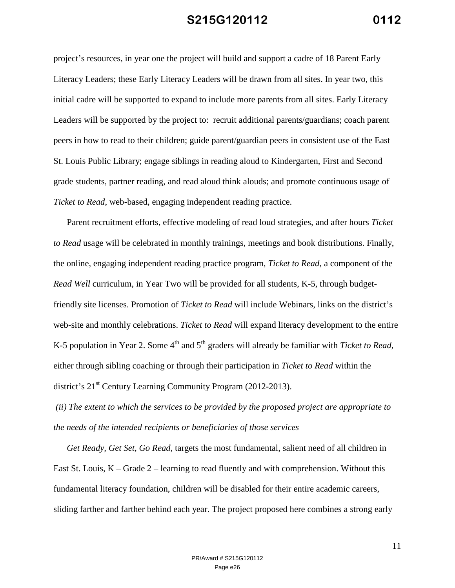project's resources, in year one the project will build and support a cadre of 18 Parent Early Literacy Leaders; these Early Literacy Leaders will be drawn from all sites. In year two, this initial cadre will be supported to expand to include more parents from all sites. Early Literacy Leaders will be supported by the project to: recruit additional parents/guardians; coach parent peers in how to read to their children; guide parent/guardian peers in consistent use of the East St. Louis Public Library; engage siblings in reading aloud to Kindergarten, First and Second grade students, partner reading, and read aloud think alouds; and promote continuous usage of *Ticket to Read*, web-based, engaging independent reading practice.

Parent recruitment efforts, effective modeling of read loud strategies, and after hours *Ticket to Read* usage will be celebrated in monthly trainings, meetings and book distributions. Finally, the online, engaging independent reading practice program, *Ticket to Read*, a component of the *Read Well* curriculum, in Year Two will be provided for all students, K-5, through budgetfriendly site licenses. Promotion of *Ticket to Read* will include Webinars, links on the district's web-site and monthly celebrations. *Ticket to Read* will expand literacy development to the entire K-5 population in Year 2. Some 4<sup>th</sup> and 5<sup>th</sup> graders will already be familiar with *Ticket to Read*, either through sibling coaching or through their participation in *Ticket to Read* within the district's 21<sup>st</sup> Century Learning Community Program (2012-2013).

*(ii) The extent to which the services to be provided by the proposed project are appropriate to the needs of the intended recipients or beneficiaries of those services*

*Get Ready, Get Set, Go Read,* targets the most fundamental, salient need of all children in East St. Louis,  $K -$ Grade 2 – learning to read fluently and with comprehension. Without this fundamental literacy foundation, children will be disabled for their entire academic careers, sliding farther and farther behind each year. The project proposed here combines a strong early

> PR/Award # S215G120112 Page e26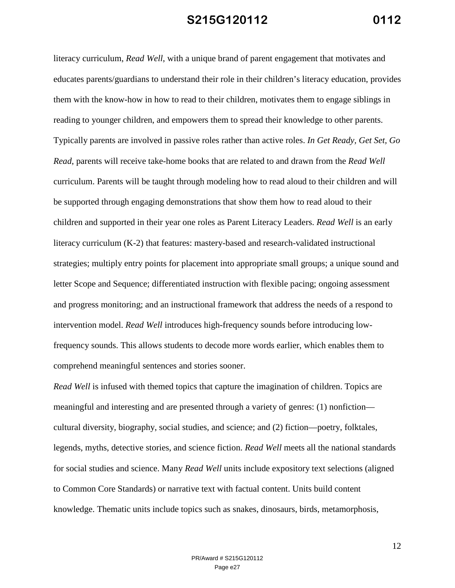literacy curriculum, *Read Well*, with a unique brand of parent engagement that motivates and educates parents/guardians to understand their role in their children's literacy education, provides them with the know-how in how to read to their children, motivates them to engage siblings in reading to younger children, and empowers them to spread their knowledge to other parents. Typically parents are involved in passive roles rather than active roles. *In Get Ready, Get Set, Go Read*, parents will receive take-home books that are related to and drawn from the *Read Well* curriculum. Parents will be taught through modeling how to read aloud to their children and will be supported through engaging demonstrations that show them how to read aloud to their children and supported in their year one roles as Parent Literacy Leaders. *Read Well* is an early literacy curriculum (K-2) that features: mastery-based and research-validated instructional strategies; multiply entry points for placement into appropriate small groups; a unique sound and letter Scope and Sequence; differentiated instruction with flexible pacing; ongoing assessment and progress monitoring; and an instructional framework that address the needs of a respond to intervention model. *Read Well* introduces high-frequency sounds before introducing lowfrequency sounds. This allows students to decode more words earlier, which enables them to comprehend meaningful sentences and stories sooner.

*Read Well* is infused with themed topics that capture the imagination of children. Topics are meaningful and interesting and are presented through a variety of genres: (1) nonfiction cultural diversity, biography, social studies, and science; and (2) fiction—poetry, folktales, legends, myths, detective stories, and science fiction. *Read Well* meets all the national standards for social studies and science. Many *Read Well* units include expository text selections (aligned to Common Core Standards) or narrative text with factual content. Units build content knowledge. Thematic units include topics such as snakes, dinosaurs, birds, metamorphosis,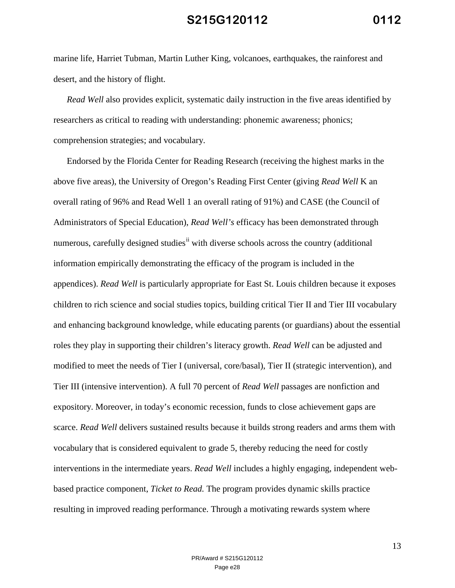marine life, Harriet Tubman, Martin Luther King, volcanoes, earthquakes, the rainforest and desert, and the history of flight.

*Read Well* also provides explicit, systematic daily instruction in the five areas identified by researchers as critical to reading with understanding: phonemic awareness; phonics; comprehension strategies; and vocabulary.

Endorsed by the Florida Center for Reading Research (receiving the highest marks in the above five areas), the University of Oregon's Reading First Center (giving *Read Well* K an overall rating of 96% and Read Well 1 an overall rating of 91%) and CASE (the Council of Administrators of Special Education), *Read Well's* efficacy has been demonstrated through numerous, carefully designed studies<sup>ii</sup> with diverse schools across the country (additional information empirically demonstrating the efficacy of the program is included in the appendices). *Read Well* is particularly appropriate for East St. Louis children because it exposes children to rich science and social studies topics, building critical Tier II and Tier III vocabulary and enhancing background knowledge, while educating parents (or guardians) about the essential roles they play in supporting their children's literacy growth. *Read Well* can be adjusted and modified to meet the needs of Tier I (universal, core/basal), Tier II (strategic intervention), and Tier III (intensive intervention). A full 70 percent of *Read Well* passages are nonfiction and expository. Moreover, in today's economic recession, funds to close achievement gaps are scarce. *Read Well* delivers sustained results because it builds strong readers and arms them with vocabulary that is considered equivalent to grade 5, thereby reducing the need for costly interventions in the intermediate years. *Read Well* includes a highly engaging, independent webbased practice component, *Ticket to Read.* The program provides dynamic skills practice resulting in improved reading performance. Through a motivating rewards system where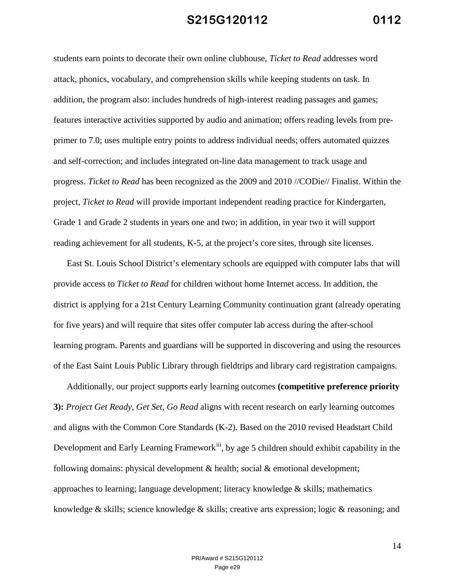students earn points to decorate their own online clubhouse, *Ticket to Read* addresses word attack, phonics, vocabulary, and comprehension skills while keeping students on task. In addition, the program also: includes hundreds of high-interest reading passages and games; features interactive activities supported by audio and animation; offers reading levels from preprimer to 7.0; uses multiple entry points to address individual needs; offers automated quizzes and self-correction; and includes integrated on-line data management to track usage and progress. *Ticket to Read* has been recognized as the 2009 and 2010 //CODie// Finalist. Within the project, *Ticket to Read* will provide important independent reading practice for Kindergarten, Grade 1 and Grade 2 students in years one and two; in addition, in year two it will support reading achievement for all students, K-5, at the project's core sites, through site licenses.

East St. Louis School District's elementary schools are equipped with computer labs that will provide access to *Ticket to Read* for children without home Internet access. In addition, the district is applying for a 21st Century Learning Community continuation grant (already operating for five years) and will require that sites offer computer lab access during the after-school learning program. Parents and guardians will be supported in discovering and using the resources of the East Saint Louis Public Library through fieldtrips and library card registration campaigns.

Additionally, our project supports early learning outcomes **(competitive preference priority 3):** *Project Get Ready, Get Set, Go Read* aligns with recent research on early learning outcomes and aligns with the Common Core Standards (K-2). Based on the 2010 revised Headstart Child Development and Early Learning Framework<sup>iii</sup>, by age 5 children should exhibit capability in the following domains: physical development  $\&$  health; social  $\&$  emotional development; approaches to learning; language development; literacy knowledge & skills; mathematics knowledge  $\&$  skills; science knowledge  $\&$  skills; creative arts expression; logic  $\&$  reasoning; and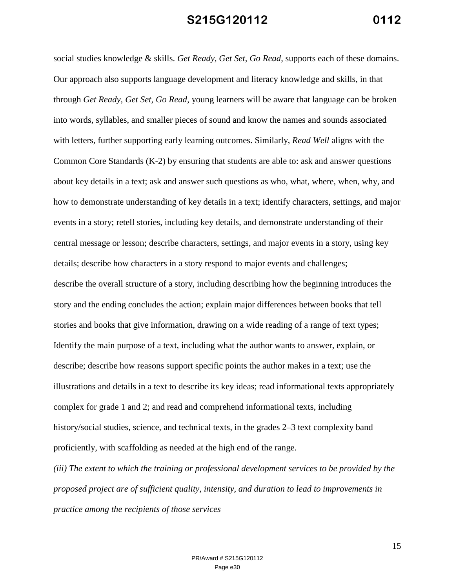social studies knowledge & skills. *Get Ready, Get Set, Go Read,* supports each of these domains. Our approach also supports language development and literacy knowledge and skills, in that through *Get Ready, Get Set, Go Read,* young learners will be aware that language can be broken into words, syllables, and smaller pieces of sound and know the names and sounds associated with letters, further supporting early learning outcomes. Similarly, *Read Well* aligns with the Common Core Standards (K-2) by ensuring that students are able to: ask and answer questions about key details in a text; ask and answer such questions as who, what, where, when, why, and how to demonstrate understanding of key details in a text; identify characters, settings, and major events in a story; retell stories, including key details, and demonstrate understanding of their central message or lesson; describe characters, settings, and major events in a story, using key details; describe how characters in a story respond to major events and challenges; describe the overall structure of a story, including describing how the beginning introduces the story and the ending concludes the action; explain major differences between books that tell stories and books that give information, drawing on a wide reading of a range of text types; Identify the main purpose of a text, including what the author wants to answer, explain, or describe; describe how reasons support specific points the author makes in a text; use the illustrations and details in a text to describe its key ideas; read informational texts appropriately complex for grade 1 and 2; and read and comprehend informational texts, including history/social studies, science, and technical texts, in the grades  $2-3$  text complexity band proficiently, with scaffolding as needed at the high end of the range.

*(iii) The extent to which the training or professional development services to be provided by the proposed project are of sufficient quality, intensity, and duration to lead to improvements in practice among the recipients of those services*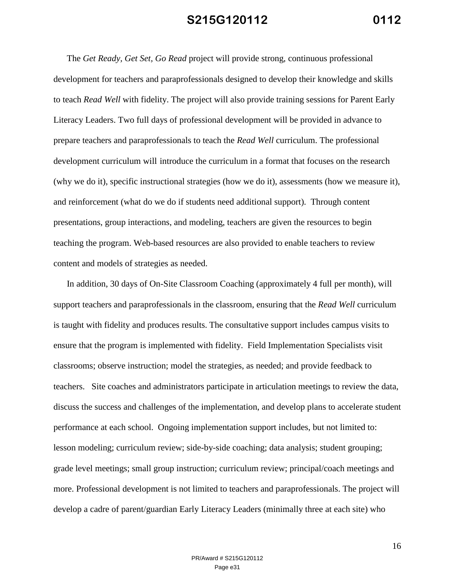The *Get Ready, Get Set, Go Read* project will provide strong, continuous professional development for teachers and paraprofessionals designed to develop their knowledge and skills to teach *Read Well* with fidelity. The project will also provide training sessions for Parent Early Literacy Leaders. Two full days of professional development will be provided in advance to prepare teachers and paraprofessionals to teach the *Read Well* curriculum. The professional development curriculum will introduce the curriculum in a format that focuses on the research (why we do it), specific instructional strategies (how we do it), assessments (how we measure it), and reinforcement (what do we do if students need additional support). Through content presentations, group interactions, and modeling, teachers are given the resources to begin teaching the program. Web-based resources are also provided to enable teachers to review content and models of strategies as needed.

In addition, 30 days of On-Site Classroom Coaching (approximately 4 full per month), will support teachers and paraprofessionals in the classroom, ensuring that the *Read Well* curriculum is taught with fidelity and produces results. The consultative support includes campus visits to ensure that the program is implemented with fidelity. Field Implementation Specialists visit classrooms; observe instruction; model the strategies, as needed; and provide feedback to teachers. Site coaches and administrators participate in articulation meetings to review the data, discuss the success and challenges of the implementation, and develop plans to accelerate student performance at each school. Ongoing implementation support includes, but not limited to: lesson modeling; curriculum review; side-by-side coaching; data analysis; student grouping; grade level meetings; small group instruction; curriculum review; principal/coach meetings and more. Professional development is not limited to teachers and paraprofessionals. The project will develop a cadre of parent/guardian Early Literacy Leaders (minimally three at each site) who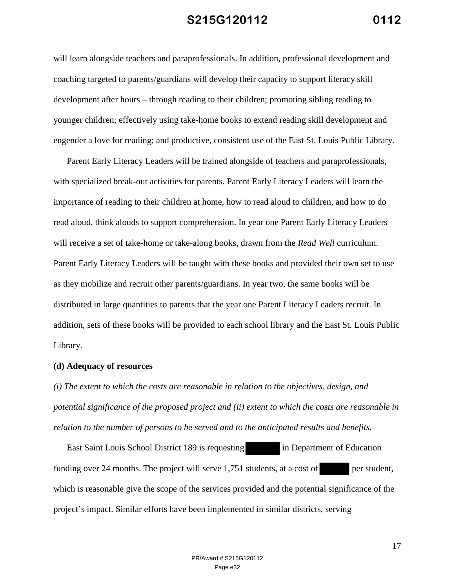will learn alongside teachers and paraprofessionals. In addition, professional development and coaching targeted to parents/guardians will develop their capacity to support literacy skill development after hours – through reading to their children; promoting sibling reading to younger children; effectively using take-home books to extend reading skill development and engender a love for reading; and productive, consistent use of the East St. Louis Public Library.

Parent Early Literacy Leaders will be trained alongside of teachers and paraprofessionals, with specialized break-out activities for parents. Parent Early Literacy Leaders will learn the importance of reading to their children at home, how to read aloud to children, and how to do read aloud, think alouds to support comprehension. In year one Parent Early Literacy Leaders will receive a set of take-home or take-along books, drawn from the *Read Well* curriculum. Parent Early Literacy Leaders will be taught with these books and provided their own set to use as they mobilize and recruit other parents/guardians. In year two, the same books will be distributed in large quantities to parents that the year one Parent Literacy Leaders recruit. In addition, sets of these books will be provided to each school library and the East St. Louis Public Library.

#### **(d) Adequacy of resources**

*(i) The extent to which the costs are reasonable in relation to the objectives, design, and potential significance of the proposed project and (ii) extent to which the costs are reasonable in relation to the number of persons to be served and to the anticipated results and benefits.* 

East Saint Louis School District 189 is requesting in Department of Education funding over 24 months. The project will serve 1,751 students, at a cost of per student, which is reasonable give the scope of the services provided and the potential significance of the project's impact. Similar efforts have been implemented in similar districts, serving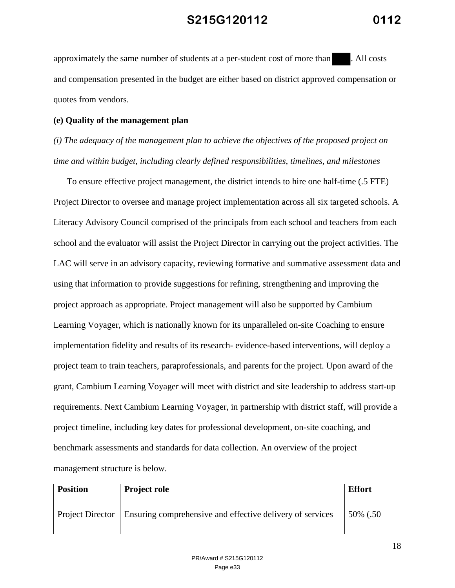approximately the same number of students at a per-student cost of more than . All costs and compensation presented in the budget are either based on district approved compensation or quotes from vendors.

#### **(e) Quality of the management plan**

*(i) The adequacy of the management plan to achieve the objectives of the proposed project on time and within budget, including clearly defined responsibilities, timelines, and milestones*

To ensure effective project management, the district intends to hire one half-time (.5 FTE) Project Director to oversee and manage project implementation across all six targeted schools. A Literacy Advisory Council comprised of the principals from each school and teachers from each school and the evaluator will assist the Project Director in carrying out the project activities. The LAC will serve in an advisory capacity, reviewing formative and summative assessment data and using that information to provide suggestions for refining, strengthening and improving the project approach as appropriate. Project management will also be supported by Cambium Learning Voyager, which is nationally known for its unparalleled on-site Coaching to ensure implementation fidelity and results of its research- evidence-based interventions, will deploy a project team to train teachers, paraprofessionals, and parents for the project. Upon award of the grant, Cambium Learning Voyager will meet with district and site leadership to address start-up requirements. Next Cambium Learning Voyager, in partnership with district staff, will provide a project timeline, including key dates for professional development, on-site coaching, and benchmark assessments and standards for data collection. An overview of the project management structure is below.

| <b>Position</b> | <b>Project role</b>                                                          | <b>Effort</b> |
|-----------------|------------------------------------------------------------------------------|---------------|
|                 | Project Director   Ensuring comprehensive and effective delivery of services | 50% (.50)     |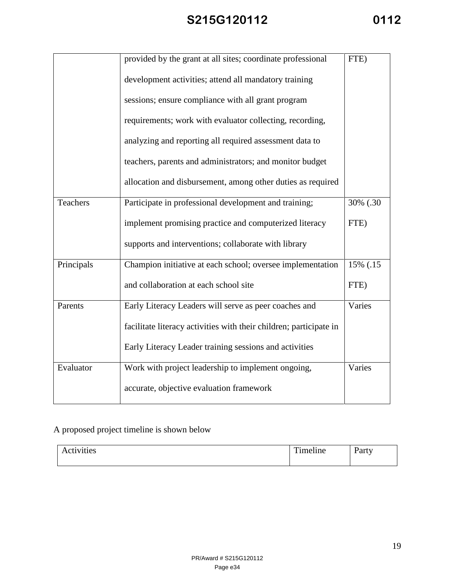| ◢<br>ſ | ◢ |
|--------|---|
|--------|---|

|                 | provided by the grant at all sites; coordinate professional        | FTE)     |
|-----------------|--------------------------------------------------------------------|----------|
|                 | development activities; attend all mandatory training              |          |
|                 | sessions; ensure compliance with all grant program                 |          |
|                 | requirements; work with evaluator collecting, recording,           |          |
|                 | analyzing and reporting all required assessment data to            |          |
|                 | teachers, parents and administrators; and monitor budget           |          |
|                 | allocation and disbursement, among other duties as required        |          |
| <b>Teachers</b> | Participate in professional development and training;              | 30% (.30 |
|                 | implement promising practice and computerized literacy             | FTE)     |
|                 | supports and interventions; collaborate with library               |          |
| Principals      | Champion initiative at each school; oversee implementation         | 15% (.15 |
|                 | and collaboration at each school site                              | FTE)     |
| Parents         | Early Literacy Leaders will serve as peer coaches and              | Varies   |
|                 | facilitate literacy activities with their children; participate in |          |
|                 | Early Literacy Leader training sessions and activities             |          |
| Evaluator       | Work with project leadership to implement ongoing,                 | Varies   |
|                 | accurate, objective evaluation framework                           |          |

## A proposed project timeline is shown below

| Activities | $\rightarrow$<br>m.<br>meline<br>$\sim$ $\sim$ $\sim$ $\sim$ | $\overline{\phantom{a}}$<br>10.44<br>ai t |
|------------|--------------------------------------------------------------|-------------------------------------------|
|            |                                                              |                                           |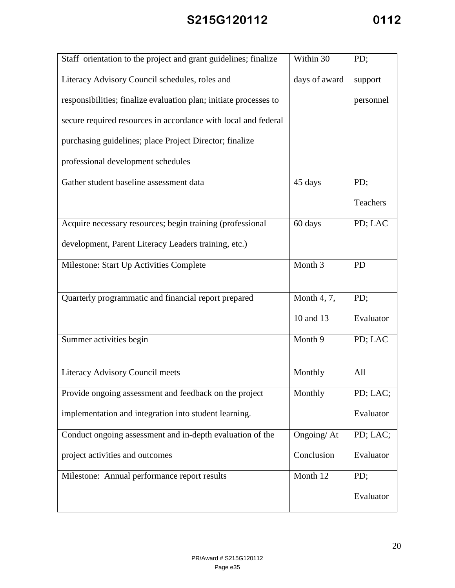| Staff orientation to the project and grant guidelines; finalize   | Within 30                 | PD;       |
|-------------------------------------------------------------------|---------------------------|-----------|
| Literacy Advisory Council schedules, roles and                    | days of award             | support   |
| responsibilities; finalize evaluation plan; initiate processes to |                           | personnel |
| secure required resources in accordance with local and federal    |                           |           |
| purchasing guidelines; place Project Director; finalize           |                           |           |
| professional development schedules                                |                           |           |
| Gather student baseline assessment data                           | 45 days                   | PD;       |
|                                                                   |                           | Teachers  |
| Acquire necessary resources; begin training (professional         | 60 days                   | PD; LAC   |
| development, Parent Literacy Leaders training, etc.)              |                           |           |
| Milestone: Start Up Activities Complete                           | Month 3                   | <b>PD</b> |
|                                                                   |                           |           |
| Quarterly programmatic and financial report prepared              | Month 4, 7,               | PD;       |
|                                                                   | 10 and 13                 | Evaluator |
| Summer activities begin                                           | Month 9                   | PD; LAC   |
|                                                                   |                           |           |
| Literacy Advisory Council meets                                   | Monthly                   | All       |
| Provide ongoing assessment and feedback on the project            | Monthly                   | PD; LAC;  |
| implementation and integration into student learning.             |                           | Evaluator |
| Conduct ongoing assessment and in-depth evaluation of the         | $\overline{O}$ ngoing/ At | PD; LAC;  |
| project activities and outcomes                                   | Conclusion                | Evaluator |
| Milestone: Annual performance report results                      | Month 12                  | PD;       |
|                                                                   |                           | Evaluator |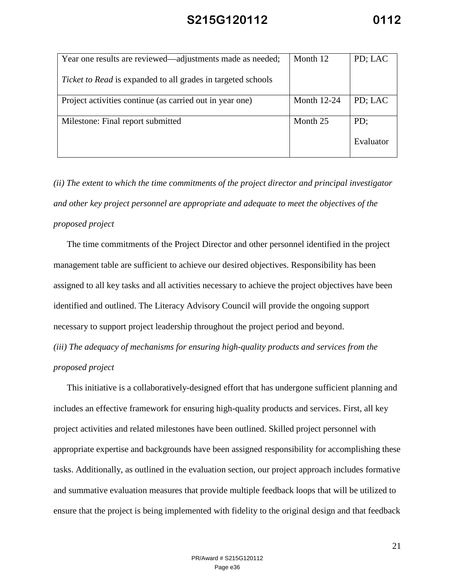| Year one results are reviewed—adjustments made as needed;           | Month 12           | PD; LAC   |
|---------------------------------------------------------------------|--------------------|-----------|
| <i>Ticket to Read</i> is expanded to all grades in targeted schools |                    |           |
| Project activities continue (as carried out in year one)            | <b>Month 12-24</b> | PD; LAC   |
| Milestone: Final report submitted                                   | Month 25           | PD;       |
|                                                                     |                    | Evaluator |

*(ii) The extent to which the time commitments of the project director and principal investigator and other key project personnel are appropriate and adequate to meet the objectives of the proposed project*

The time commitments of the Project Director and other personnel identified in the project management table are sufficient to achieve our desired objectives. Responsibility has been assigned to all key tasks and all activities necessary to achieve the project objectives have been identified and outlined. The Literacy Advisory Council will provide the ongoing support necessary to support project leadership throughout the project period and beyond.

*(iii) The adequacy of mechanisms for ensuring high-quality products and services from the proposed project*

This initiative is a collaboratively-designed effort that has undergone sufficient planning and includes an effective framework for ensuring high-quality products and services. First, all key project activities and related milestones have been outlined. Skilled project personnel with appropriate expertise and backgrounds have been assigned responsibility for accomplishing these tasks. Additionally, as outlined in the evaluation section, our project approach includes formative and summative evaluation measures that provide multiple feedback loops that will be utilized to ensure that the project is being implemented with fidelity to the original design and that feedback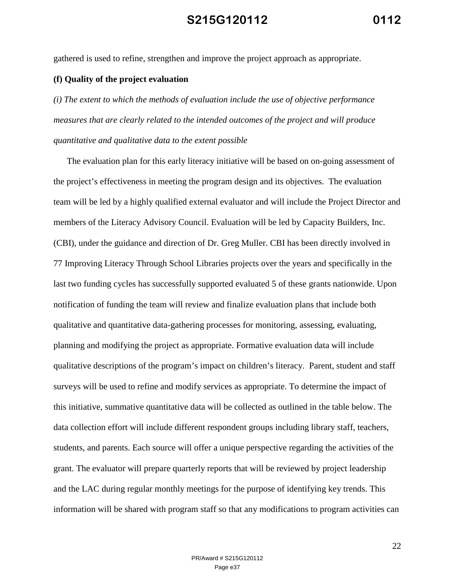gathered is used to refine, strengthen and improve the project approach as appropriate.

#### **(f) Quality of the project evaluation**

*(i) The extent to which the methods of evaluation include the use of objective performance measures that are clearly related to the intended outcomes of the project and will produce quantitative and qualitative data to the extent possible*

The evaluation plan for this early literacy initiative will be based on on-going assessment of the project's effectiveness in meeting the program design and its objectives. The evaluation team will be led by a highly qualified external evaluator and will include the Project Director and members of the Literacy Advisory Council. Evaluation will be led by Capacity Builders, Inc. (CBI), under the guidance and direction of Dr. Greg Muller. CBI has been directly involved in 77 Improving Literacy Through School Libraries projects over the years and specifically in the last two funding cycles has successfully supported evaluated 5 of these grants nationwide. Upon notification of funding the team will review and finalize evaluation plans that include both qualitative and quantitative data-gathering processes for monitoring, assessing, evaluating, planning and modifying the project as appropriate. Formative evaluation data will include qualitative descriptions of the program's impact on children's literacy. Parent, student and staff surveys will be used to refine and modify services as appropriate. To determine the impact of this initiative, summative quantitative data will be collected as outlined in the table below. The data collection effort will include different respondent groups including library staff, teachers, students, and parents. Each source will offer a unique perspective regarding the activities of the grant. The evaluator will prepare quarterly reports that will be reviewed by project leadership and the LAC during regular monthly meetings for the purpose of identifying key trends. This information will be shared with program staff so that any modifications to program activities can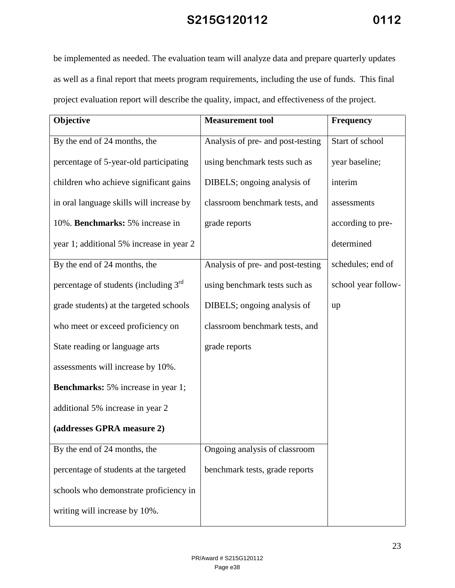be implemented as needed. The evaluation team will analyze data and prepare quarterly updates as well as a final report that meets program requirements, including the use of funds. This final project evaluation report will describe the quality, impact, and effectiveness of the project.

| Objective                                         | <b>Measurement</b> tool           | <b>Frequency</b>    |
|---------------------------------------------------|-----------------------------------|---------------------|
| By the end of 24 months, the                      | Analysis of pre- and post-testing | Start of school     |
| percentage of 5-year-old participating            | using benchmark tests such as     | year baseline;      |
| children who achieve significant gains            | DIBELS; ongoing analysis of       | interim             |
| in oral language skills will increase by          | classroom benchmark tests, and    | assessments         |
| 10%. Benchmarks: 5% increase in                   | grade reports                     | according to pre-   |
| year 1; additional 5% increase in year 2          |                                   | determined          |
| By the end of 24 months, the                      | Analysis of pre- and post-testing | schedules; end of   |
| percentage of students (including 3 <sup>rd</sup> | using benchmark tests such as     | school year follow- |
| grade students) at the targeted schools           | DIBELS; ongoing analysis of       | up                  |
| who meet or exceed proficiency on                 | classroom benchmark tests, and    |                     |
| State reading or language arts                    | grade reports                     |                     |
| assessments will increase by 10%.                 |                                   |                     |
| <b>Benchmarks:</b> 5% increase in year 1;         |                                   |                     |
| additional 5% increase in year 2                  |                                   |                     |
| (addresses GPRA measure 2)                        |                                   |                     |
| By the end of 24 months, the                      | Ongoing analysis of classroom     |                     |
| percentage of students at the targeted            | benchmark tests, grade reports    |                     |
| schools who demonstrate proficiency in            |                                   |                     |
| writing will increase by 10%.                     |                                   |                     |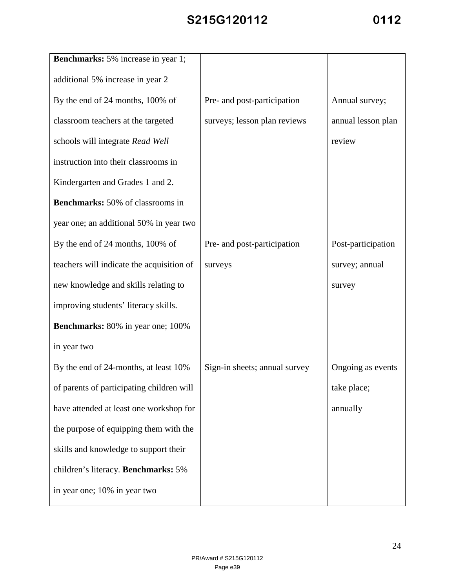| <b>Benchmarks:</b> 5% increase in year 1; |                               |                    |
|-------------------------------------------|-------------------------------|--------------------|
| additional 5% increase in year 2          |                               |                    |
| By the end of 24 months, 100% of          | Pre- and post-participation   | Annual survey;     |
| classroom teachers at the targeted        | surveys; lesson plan reviews  | annual lesson plan |
| schools will integrate Read Well          |                               | review             |
| instruction into their classrooms in      |                               |                    |
| Kindergarten and Grades 1 and 2.          |                               |                    |
| <b>Benchmarks:</b> 50% of classrooms in   |                               |                    |
| year one; an additional 50% in year two   |                               |                    |
| By the end of 24 months, 100% of          | Pre- and post-participation   | Post-participation |
| teachers will indicate the acquisition of | surveys                       | survey; annual     |
| new knowledge and skills relating to      |                               | survey             |
| improving students' literacy skills.      |                               |                    |
| <b>Benchmarks:</b> 80% in year one; 100%  |                               |                    |
| in year two                               |                               |                    |
| By the end of 24-months, at least 10%     | Sign-in sheets; annual survey | Ongoing as events  |
| of parents of participating children will |                               | take place;        |
| have attended at least one workshop for   |                               | annually           |
| the purpose of equipping them with the    |                               |                    |
| skills and knowledge to support their     |                               |                    |
| children's literacy. Benchmarks: 5%       |                               |                    |
| in year one; 10% in year two              |                               |                    |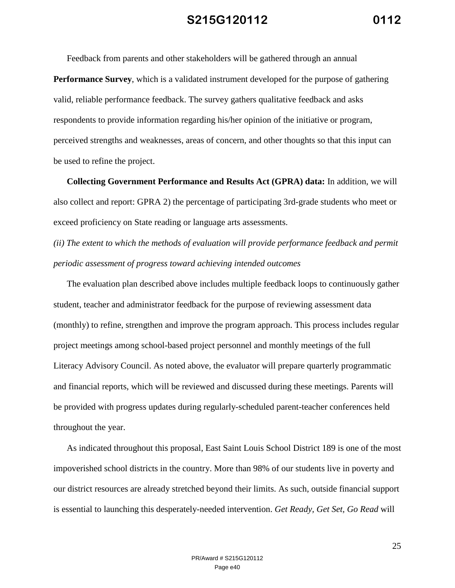Feedback from parents and other stakeholders will be gathered through an annual

**Performance Survey**, which is a validated instrument developed for the purpose of gathering valid, reliable performance feedback. The survey gathers qualitative feedback and asks respondents to provide information regarding his/her opinion of the initiative or program, perceived strengths and weaknesses, areas of concern, and other thoughts so that this input can be used to refine the project.

**Collecting Government Performance and Results Act (GPRA) data:** In addition, we will also collect and report: GPRA 2) the percentage of participating 3rd-grade students who meet or exceed proficiency on State reading or language arts assessments.

*(ii) The extent to which the methods of evaluation will provide performance feedback and permit periodic assessment of progress toward achieving intended outcomes*

The evaluation plan described above includes multiple feedback loops to continuously gather student, teacher and administrator feedback for the purpose of reviewing assessment data (monthly) to refine, strengthen and improve the program approach. This process includes regular project meetings among school-based project personnel and monthly meetings of the full Literacy Advisory Council. As noted above, the evaluator will prepare quarterly programmatic and financial reports, which will be reviewed and discussed during these meetings. Parents will be provided with progress updates during regularly-scheduled parent-teacher conferences held throughout the year.

As indicated throughout this proposal, East Saint Louis School District 189 is one of the most impoverished school districts in the country. More than 98% of our students live in poverty and our district resources are already stretched beyond their limits. As such, outside financial support is essential to launching this desperately-needed intervention. *Get Ready, Get Set, Go Read* will